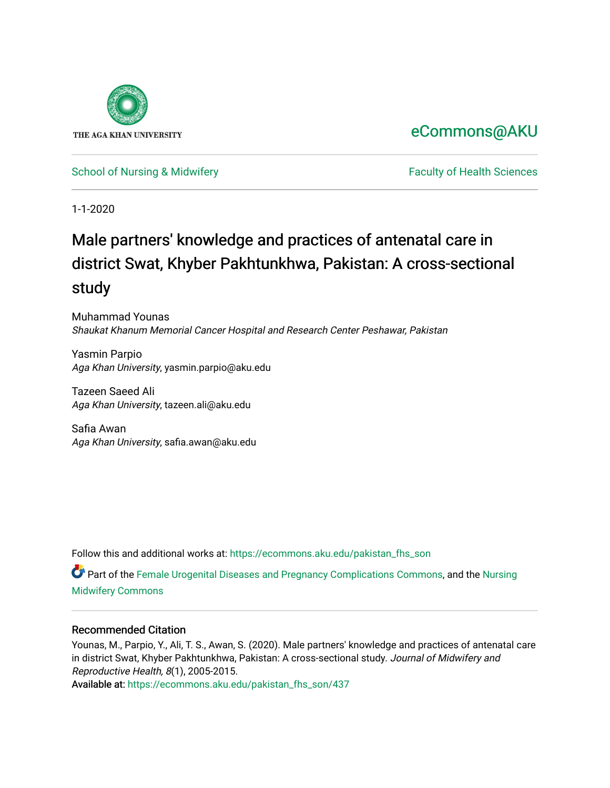

# [eCommons@AKU](https://ecommons.aku.edu/)

# [School of Nursing & Midwifery](https://ecommons.aku.edu/pakistan_fhs_son) **Faculty of Health Sciences** Faculty of Health Sciences

1-1-2020

# Male partners' knowledge and practices of antenatal care in district Swat, Khyber Pakhtunkhwa, Pakistan: A cross-sectional study

Muhammad Younas Shaukat Khanum Memorial Cancer Hospital and Research Center Peshawar, Pakistan

Yasmin Parpio Aga Khan University, yasmin.parpio@aku.edu

Tazeen Saeed Ali Aga Khan University, tazeen.ali@aku.edu

Safia Awan Aga Khan University, safia.awan@aku.edu

Follow this and additional works at: [https://ecommons.aku.edu/pakistan\\_fhs\\_son](https://ecommons.aku.edu/pakistan_fhs_son?utm_source=ecommons.aku.edu%2Fpakistan_fhs_son%2F437&utm_medium=PDF&utm_campaign=PDFCoverPages) 

Part of the [Female Urogenital Diseases and Pregnancy Complications Commons,](http://network.bepress.com/hgg/discipline/984?utm_source=ecommons.aku.edu%2Fpakistan_fhs_son%2F437&utm_medium=PDF&utm_campaign=PDFCoverPages) and the [Nursing](http://network.bepress.com/hgg/discipline/722?utm_source=ecommons.aku.edu%2Fpakistan_fhs_son%2F437&utm_medium=PDF&utm_campaign=PDFCoverPages) [Midwifery Commons](http://network.bepress.com/hgg/discipline/722?utm_source=ecommons.aku.edu%2Fpakistan_fhs_son%2F437&utm_medium=PDF&utm_campaign=PDFCoverPages)

# Recommended Citation

Younas, M., Parpio, Y., Ali, T. S., Awan, S. (2020). Male partners' knowledge and practices of antenatal care in district Swat, Khyber Pakhtunkhwa, Pakistan: A cross-sectional study. Journal of Midwifery and Reproductive Health, 8(1), 2005-2015.

Available at: [https://ecommons.aku.edu/pakistan\\_fhs\\_son/437](https://ecommons.aku.edu/pakistan_fhs_son/437)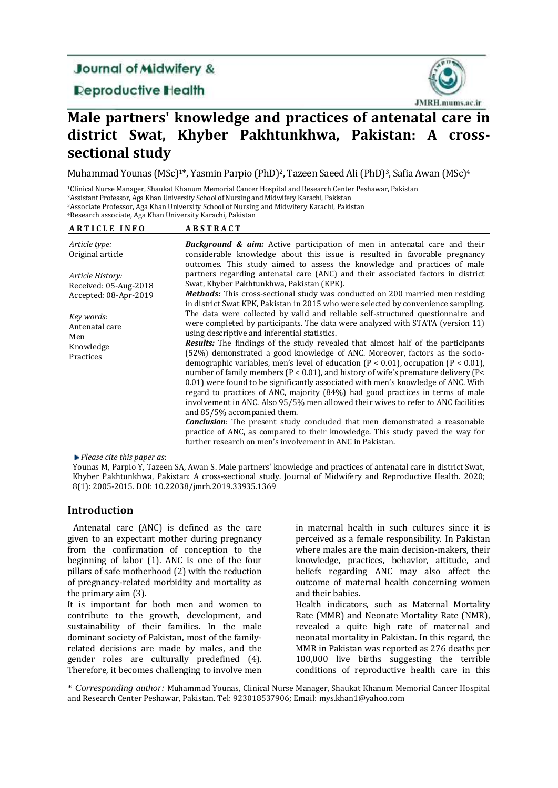# **Journal of Midwifery &**

**Deproductive Health** 



# **Male partners' knowledge and practices of antenatal care in district Swat, Khyber Pakhtunkhwa, Pakistan: A crosssectional study**

Muhammad Younas (MSc)<sup>1\*</sup>, Yasmin Parpio (PhD)<sup>2</sup>, Tazeen Saeed Ali (PhD)<sup>3</sup>, Safia Awan (MSc)<sup>4</sup>

<sup>1</sup>Clinical Nurse Manager, Shaukat Khanum Memorial Cancer Hospital and Research Center Peshawar, Pakistan

<sup>2</sup>Assistant Professor, Aga Khan University School of Nursing and Midwifery Karachi, Pakistan

<sup>3</sup>Associate Professor, Aga Khan University School of Nursing and Midwifery Karachi, Pakistan

<sup>4</sup>Research associate, Aga Khan University Karachi, Pakistan

| <b>ARTICLE INFO</b>                                                | <b>ABSTRACT</b>                                                                                                                                                                                                                                                                                                                                                                                                                                                                                                                                                                                                                                                                                                                                                                                                                                                                                                                                                                                                                                                                                                     |
|--------------------------------------------------------------------|---------------------------------------------------------------------------------------------------------------------------------------------------------------------------------------------------------------------------------------------------------------------------------------------------------------------------------------------------------------------------------------------------------------------------------------------------------------------------------------------------------------------------------------------------------------------------------------------------------------------------------------------------------------------------------------------------------------------------------------------------------------------------------------------------------------------------------------------------------------------------------------------------------------------------------------------------------------------------------------------------------------------------------------------------------------------------------------------------------------------|
| Article type:<br>Original article                                  | <b>Background &amp; aim:</b> Active participation of men in antenatal care and their<br>considerable knowledge about this issue is resulted in favorable pregnancy<br>outcomes. This study aimed to assess the knowledge and practices of male                                                                                                                                                                                                                                                                                                                                                                                                                                                                                                                                                                                                                                                                                                                                                                                                                                                                      |
| Article History:<br>Received: 05-Aug-2018<br>Accepted: 08-Apr-2019 | partners regarding antenatal care (ANC) and their associated factors in district<br>Swat, Khyber Pakhtunkhwa, Pakistan (KPK).<br><b>Methods:</b> This cross-sectional study was conducted on 200 married men residing<br>in district Swat KPK, Pakistan in 2015 who were selected by convenience sampling.                                                                                                                                                                                                                                                                                                                                                                                                                                                                                                                                                                                                                                                                                                                                                                                                          |
| Key words:<br>Antenatal care<br>Men<br>Knowledge<br>Practices      | The data were collected by valid and reliable self-structured questionnaire and<br>were completed by participants. The data were analyzed with STATA (version 11)<br>using descriptive and inferential statistics.<br><b>Results:</b> The findings of the study revealed that almost half of the participants<br>(52%) demonstrated a good knowledge of ANC. Moreover, factors as the socio-<br>demographic variables, men's level of education $(P < 0.01)$ , occupation $(P < 0.01)$ ,<br>number of family members ( $P < 0.01$ ), and history of wife's premature delivery ( $P <$<br>0.01) were found to be significantly associated with men's knowledge of ANC. With<br>regard to practices of ANC, majority (84%) had good practices in terms of male<br>involvement in ANC. Also 95/5% men allowed their wives to refer to ANC facilities<br>and 85/5% accompanied them.<br><b>Conclusion:</b> The present study concluded that men demonstrated a reasonable<br>practice of ANC, as compared to their knowledge. This study paved the way for<br>further research on men's involvement in ANC in Pakistan. |

*Please cite this paper as*:

Younas M, Parpio Y, Tazeen SA, Awan S. Male partners' knowledge and practices of antenatal care in district Swat, Khyber Pakhtunkhwa, Pakistan: A cross-sectional study. Journal of Midwifery and Reproductive Health. 2020; 8(1): 2005-2015. DOI: 10.22038/jmrh.2019.33935.1369

# **Introduction**

 Antenatal care (ANC) is defined as the care given to an expectant mother during pregnancy from the confirmation of conception to the beginning of labor (1). ANC is one of the four pillars of safe motherhood (2) with the reduction of pregnancy-related morbidity and mortality as the primary aim (3).

It is important for both men and women to contribute to the growth, development, and sustainability of their families. In the male dominant society of Pakistan, most of the familyrelated decisions are made by males, and the gender roles are culturally predefined (4). Therefore, it becomes challenging to involve men in maternal health in such cultures since it is perceived as a female responsibility. In Pakistan where males are the main decision-makers, their knowledge, practices, behavior, attitude, and beliefs regarding ANC may also affect the outcome of maternal health concerning women and their babies.

Health indicators, such as Maternal Mortality Rate (MMR) and Neonate Mortality Rate (NMR), revealed a quite high rate of maternal and neonatal mortality in Pakistan. In this regard, the MMR in Pakistan was reported as 276 deaths per 100,000 live births suggesting the terrible conditions of reproductive health care in this

\* *Corresponding author:* Muhammad Younas, Clinical Nurse Manager, Shaukat Khanum Memorial Cancer Hospital and Research Center Peshawar, Pakistan. Tel: 923018537906; Email: mys.khan1@yahoo.com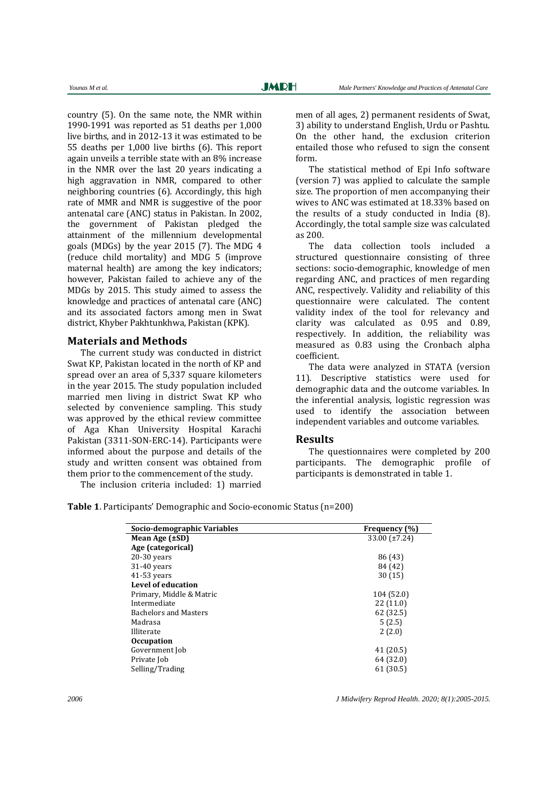country (5). On the same note, the NMR within 1990-1991 was reported as 51 deaths per 1,000 live births, and in 2012-13 it was estimated to be 55 deaths per 1,000 live births (6). This report again unveils a terrible state with an 8% increase in the NMR over the last 20 years indicating a high aggravation in NMR, compared to other neighboring countries (6). Accordingly, this high rate of MMR and NMR is suggestive of the poor antenatal care (ANC) status in Pakistan. In 2002, the government of Pakistan pledged the attainment of the millennium developmental goals (MDGs) by the year 2015 (7). The MDG 4 (reduce child mortality) and MDG 5 (improve maternal health) are among the key indicators; however, Pakistan failed to achieve any of the MDGs by 2015. This study aimed to assess the knowledge and practices of antenatal care (ANC) and its associated factors among men in Swat district, Khyber Pakhtunkhwa, Pakistan (KPK).

## **Materials and Methods**

The current study was conducted in district Swat KP, Pakistan located in the north of KP and spread over an area of 5,337 square kilometers in the year 2015. The study population included married men living in district Swat KP who selected by convenience sampling. This study was approved by the ethical review committee of Aga Khan University Hospital Karachi Pakistan (3311-SON-ERC-14). Participants were informed about the purpose and details of the study and written consent was obtained from them prior to the commencement of the study.

The inclusion criteria included: 1) married

men of all ages, 2) permanent residents of Swat, 3) ability to understand English, Urdu or Pashtu. On the other hand, the exclusion criterion entailed those who refused to sign the consent form.

The statistical method of Epi Info software (version 7) was applied to calculate the sample size. The proportion of men accompanying their wives to ANC was estimated at 18.33% based on the results of a study conducted in India (8). Accordingly, the total sample size was calculated as 200.

The data collection tools included a structured questionnaire consisting of three sections: socio-demographic, knowledge of men regarding ANC, and practices of men regarding ANC, respectively. Validity and reliability of this questionnaire were calculated. The content validity index of the tool for relevancy and clarity was calculated as 0.95 and 0.89, respectively. In addition, the reliability was measured as 0.83 using the Cronbach alpha coefficient.

The data were analyzed in STATA (version 11). Descriptive statistics were used for demographic data and the outcome variables. In the inferential analysis, logistic regression was used to identify the association between independent variables and outcome variables.

#### **Results**

The questionnaires were completed by 200 participants. The demographic profile of participants is demonstrated in table 1.

| Socio-demographic Variables  | Frequency (%) |
|------------------------------|---------------|
| Mean Age $(\pm SD)$          | 33.00 (±7.24) |
| Age (categorical)            |               |
| $20-30$ years                | 86 (43)       |
| $31-40$ years                | 84 (42)       |
| $41-53$ years                | 30(15)        |
| <b>Level of education</b>    |               |
| Primary, Middle & Matric     | 104 (52.0)    |
| Intermediate                 | 22(11.0)      |
| <b>Bachelors and Masters</b> | 62 (32.5)     |
| Madrasa                      | 5(2.5)        |
| Illiterate                   | 2(2.0)        |
| <b>Occupation</b>            |               |
| Government Job               | 41 (20.5)     |
| Private Job                  | 64 (32.0)     |
| Selling/Trading              | 61 (30.5)     |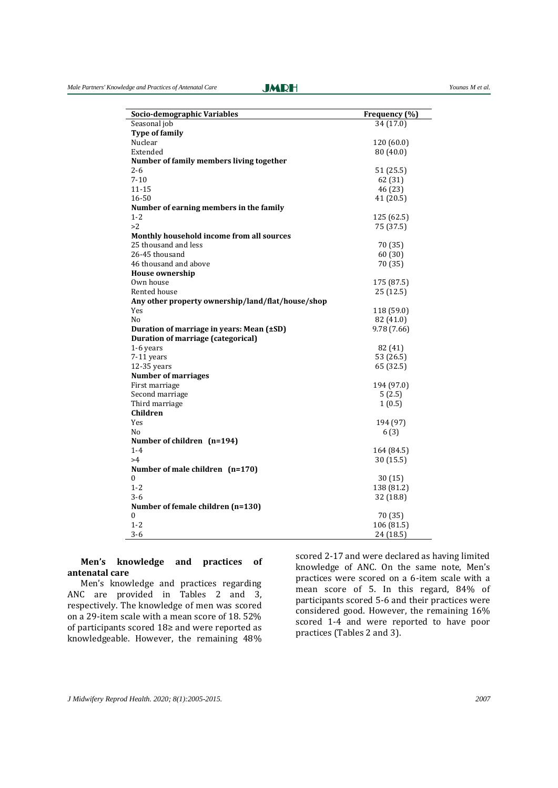| Socio-demographic Variables                       | Frequency (%) |  |  |
|---------------------------------------------------|---------------|--|--|
| Seasonal job                                      | 34 (17.0)     |  |  |
| <b>Type of family</b>                             |               |  |  |
| Nuclear                                           | 120 (60.0)    |  |  |
| Extended                                          | 80 (40.0)     |  |  |
| Number of family members living together          |               |  |  |
| $2 - 6$                                           | 51(25.5)      |  |  |
| $7 - 10$                                          | 62 (31)       |  |  |
| 11-15                                             | 46 (23)       |  |  |
| 16-50                                             | 41 (20.5)     |  |  |
| Number of earning members in the family           |               |  |  |
| $1 - 2$                                           | 125 (62.5)    |  |  |
| >2                                                | 75 (37.5)     |  |  |
| Monthly household income from all sources         |               |  |  |
| 25 thousand and less                              | 70 (35)       |  |  |
| 26-45 thousand                                    | 60(30)        |  |  |
| 46 thousand and above                             | 70 (35)       |  |  |
| <b>House ownership</b>                            |               |  |  |
| Own house                                         | 175 (87.5)    |  |  |
| Rented house                                      | 25 (12.5)     |  |  |
| Any other property ownership/land/flat/house/shop |               |  |  |
| Yes                                               | 118 (59.0)    |  |  |
| N <sub>o</sub>                                    | 82 (41.0)     |  |  |
| Duration of marriage in years: Mean (±SD)         | 9.78 (7.66)   |  |  |
| <b>Duration of marriage (categorical)</b>         |               |  |  |
| 1-6 years                                         | 82 (41)       |  |  |
| 7-11 years                                        | 53 (26.5)     |  |  |
| 12-35 years                                       | 65 (32.5)     |  |  |
| <b>Number of marriages</b>                        |               |  |  |
| First marriage                                    | 194 (97.0)    |  |  |
| Second marriage                                   | 5(2.5)        |  |  |
| Third marriage                                    | 1(0.5)        |  |  |
| Children                                          |               |  |  |
| Yes                                               | 194 (97)      |  |  |
| No                                                | 6(3)          |  |  |
| Number of children (n=194)                        |               |  |  |
| $1 - 4$                                           | 164 (84.5)    |  |  |
| >4                                                | 30 (15.5)     |  |  |
| Number of male children (n=170)                   |               |  |  |
| $\mathbf{0}$                                      | 30 (15)       |  |  |
| $1 - 2$                                           | 138 (81.2)    |  |  |
| $3 - 6$                                           | 32 (18.8)     |  |  |
| Number of female children (n=130)                 |               |  |  |
| $\boldsymbol{0}$                                  | 70 (35)       |  |  |
| $1 - 2$                                           | 106 (81.5)    |  |  |
| $3 - 6$                                           | 24 (18.5)     |  |  |

#### **Men's knowledge and practices of antenatal care**

Men's knowledge and practices regarding ANC are provided in Tables 2 and 3, respectively. The knowledge of men was scored on a 29-item scale with a mean score of 18. 52% of participants scored 18≥ and were reported as knowledgeable. However, the remaining 48%

scored 2-17 and were declared as having limited knowledge of ANC. On the same note, Men's practices were scored on a 6-item scale with a mean score of 5. In this regard, 84% of participants scored 5-6 and their practices were considered good. However, the remaining 16% scored 1-4 and were reported to have poor practices (Tables 2 and 3).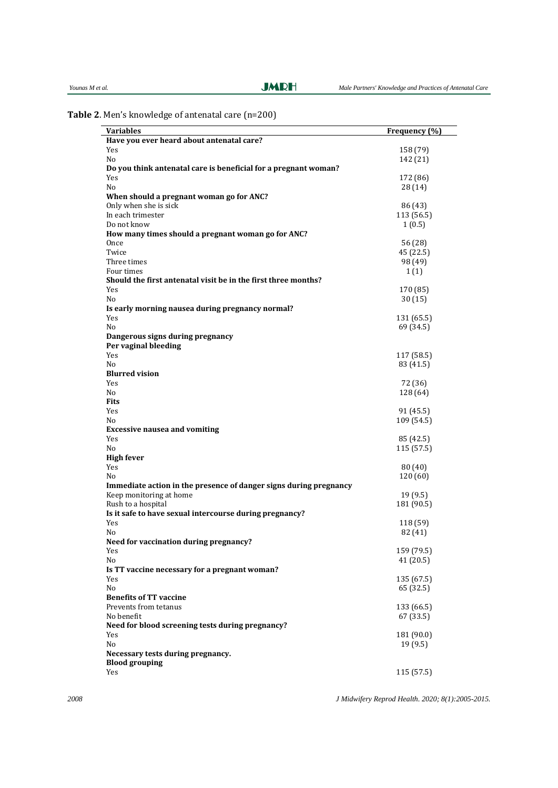| Younas M et al |  |  |  |
|----------------|--|--|--|
|----------------|--|--|--|

**Table 2**. Men's knowledge of antenatal care (n=200)

| <b>Variables</b>                                                  | Frequency (%)           |
|-------------------------------------------------------------------|-------------------------|
| Have you ever heard about antenatal care?                         |                         |
| Yes                                                               | 158 (79)                |
| No                                                                | 142 (21)                |
| Do you think antenatal care is beneficial for a pregnant woman?   |                         |
| Yes                                                               | 172 (86)                |
| No                                                                | 28 (14)                 |
| When should a pregnant woman go for ANC?                          |                         |
| Only when she is sick                                             | 86 (43)                 |
| In each trimester                                                 | 113 (56.5)              |
| Do not know                                                       | 1(0.5)                  |
| How many times should a pregnant woman go for ANC?                |                         |
| Once                                                              | 56 (28)                 |
| Twice                                                             | 45 (22.5)               |
| Three times                                                       | 98 (49)                 |
| Four times                                                        | 1(1)                    |
| Should the first antenatal visit be in the first three months?    |                         |
| Yes                                                               | 170 (85)                |
| No                                                                | 30(15)                  |
| Is early morning nausea during pregnancy normal?                  |                         |
| Yes                                                               | 131 (65.5)              |
| No                                                                | 69 (34.5)               |
| Dangerous signs during pregnancy                                  |                         |
| Per vaginal bleeding                                              |                         |
| Yes                                                               | 117 (58.5)              |
| No                                                                | 83 (41.5)               |
| <b>Blurred vision</b>                                             |                         |
| Yes                                                               | 72 (36)                 |
| No                                                                | 128 (64)                |
| <b>Fits</b>                                                       |                         |
| Yes                                                               | 91 (45.5)               |
| No                                                                | 109 (54.5)              |
| <b>Excessive nausea and vomiting</b>                              |                         |
| Yes                                                               | 85 (42.5)               |
| No                                                                | 115 (57.5)              |
| <b>High fever</b>                                                 |                         |
| Yes                                                               | 80 (40)                 |
| No                                                                | 120 (60)                |
| Immediate action in the presence of danger signs during pregnancy |                         |
| Keep monitoring at home                                           | 19 (9.5)                |
| Rush to a hospital                                                | 181 (90.5)              |
| Is it safe to have sexual intercourse during pregnancy?           |                         |
| Yes                                                               | 118 (59)                |
| No                                                                | 82 (41)                 |
| Need for vaccination during pregnancy?                            |                         |
| Yes                                                               | 159 (79.5)              |
| No                                                                | 41(20.5)                |
| Is TT vaccine necessary for a pregnant woman?                     |                         |
| Yes                                                               |                         |
| No                                                                | 135 (67.5)<br>65 (32.5) |
| <b>Benefits of TT vaccine</b>                                     |                         |
| Prevents from tetanus                                             |                         |
| No benefit                                                        | 133 (66.5)              |
|                                                                   | 67 (33.5)               |
| Need for blood screening tests during pregnancy?                  |                         |
| Yes                                                               | 181 (90.0)              |
| No                                                                | 19(9.5)                 |
| Necessary tests during pregnancy.                                 |                         |
| <b>Blood grouping</b>                                             |                         |
| Yes                                                               | 115 (57.5)              |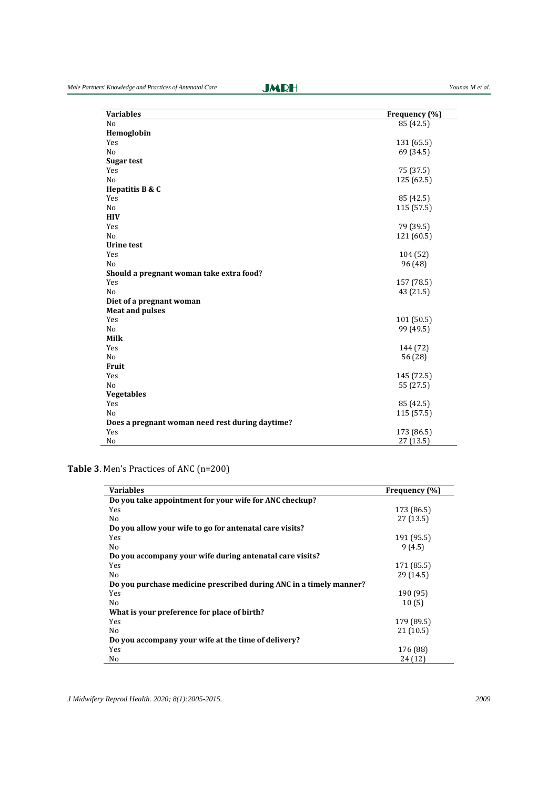| <b>Variables</b>                                | Frequency (%) |
|-------------------------------------------------|---------------|
| N <sub>o</sub>                                  | 85 (42.5)     |
| Hemoglobin                                      |               |
| Yes                                             | 131 (65.5)    |
| N <sub>o</sub>                                  | 69 (34.5)     |
| Sugar test                                      |               |
| Yes                                             | 75 (37.5)     |
| N <sub>o</sub>                                  | 125 (62.5)    |
| Hepatitis B & C                                 |               |
| Yes                                             | 85 (42.5)     |
| N <sub>o</sub>                                  | 115 (57.5)    |
| <b>HIV</b>                                      |               |
| Yes                                             | 79 (39.5)     |
| N <sub>o</sub>                                  | 121 (60.5)    |
| <b>Urine test</b>                               |               |
| Yes                                             | 104 (52)      |
| N <sub>o</sub>                                  | 96(48)        |
| Should a pregnant woman take extra food?        |               |
| Yes                                             | 157 (78.5)    |
| N <sub>o</sub>                                  | 43 (21.5)     |
| Diet of a pregnant woman                        |               |
| <b>Meat and pulses</b>                          |               |
| Yes                                             | 101 (50.5)    |
| N <sub>o</sub>                                  | 99 (49.5)     |
| Milk                                            |               |
| Yes                                             | 144 (72)      |
| N <sub>o</sub>                                  | 56 (28)       |
| Fruit                                           |               |
| Yes                                             | 145 (72.5)    |
| N <sub>o</sub>                                  | 55 (27.5)     |
| <b>Vegetables</b>                               |               |
| Yes                                             | 85 (42.5)     |
| N <sub>o</sub>                                  | 115 (57.5)    |
| Does a pregnant woman need rest during daytime? |               |
| Yes                                             | 173 (86.5)    |
| No                                              | 27 (13.5)     |

**Table 3**. Men's Practices of ANC (n=200)

| <b>Variables</b>                                                   | Frequency (%) |
|--------------------------------------------------------------------|---------------|
| Do you take appointment for your wife for ANC checkup?             |               |
| Yes                                                                | 173 (86.5)    |
| No                                                                 | 27(13.5)      |
| Do you allow your wife to go for antenatal care visits?            |               |
| Yes                                                                | 191 (95.5)    |
| No                                                                 | 9(4.5)        |
| Do you accompany your wife during antenatal care visits?           |               |
| Yes                                                                | 171 (85.5)    |
| No                                                                 | 29(14.5)      |
| Do you purchase medicine prescribed during ANC in a timely manner? |               |
| Yes                                                                | 190 (95)      |
| No                                                                 | 10(5)         |
| What is your preference for place of birth?                        |               |
| Yes                                                                | 179 (89.5)    |
| No                                                                 | 21(10.5)      |
| Do you accompany your wife at the time of delivery?                |               |
| Yes                                                                | 176 (88)      |
| No                                                                 | 24 (12)       |

*J Midwifery Reprod Health. 2020; 8(1):2005-2015. 2009*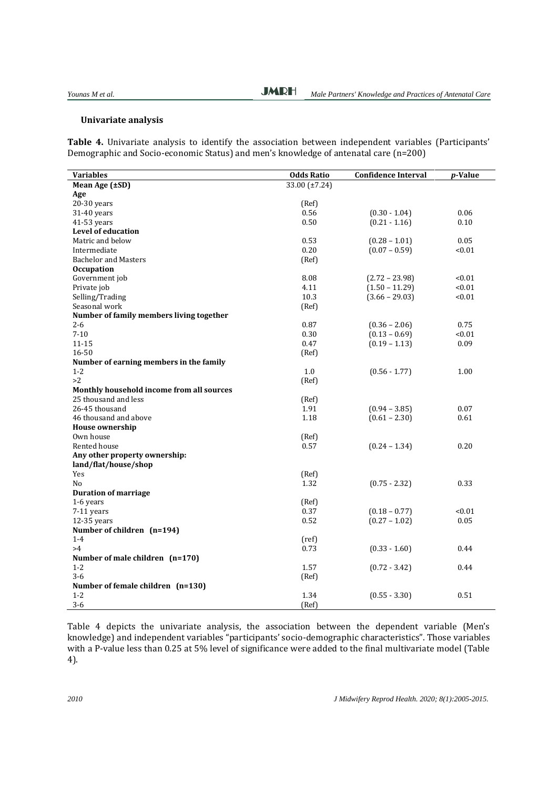## **Univariate analysis**

**Table 4.** Univariate analysis to identify the association between independent variables (Participants' Demographic and Socio-economic Status) and men's knowledge of antenatal care (n=200)

| <b>Variables</b>                          | <b>Odds Ratio</b> | <b>Confidence Interval</b> | p-Value |
|-------------------------------------------|-------------------|----------------------------|---------|
| Mean Age (±SD)                            | 33.00 (±7.24)     |                            |         |
| Age                                       |                   |                            |         |
| $20-30$ years                             | (Ref)             |                            |         |
| 31-40 years                               | 0.56              | $(0.30 - 1.04)$            | 0.06    |
| 41-53 years                               | 0.50              | $(0.21 - 1.16)$            | 0.10    |
| Level of education                        |                   |                            |         |
| Matric and below                          | 0.53              | $(0.28 - 1.01)$            | 0.05    |
| Intermediate                              | 0.20              | $(0.07 - 0.59)$            | < 0.01  |
| <b>Bachelor and Masters</b>               | (Ref)             |                            |         |
| <b>Occupation</b>                         |                   |                            |         |
| Government job                            | 8.08              | $(2.72 - 23.98)$           | < 0.01  |
| Private job                               | 4.11              | $(1.50 - 11.29)$           | < 0.01  |
| Selling/Trading                           | 10.3              | $(3.66 - 29.03)$           | < 0.01  |
| Seasonal work                             | (Ref)             |                            |         |
| Number of family members living together  |                   |                            |         |
| $2 - 6$                                   | 0.87              | $(0.36 - 2.06)$            | 0.75    |
| $7 - 10$                                  | 0.30              | $(0.13 - 0.69)$            | < 0.01  |
| $11 - 15$                                 | 0.47              | $(0.19 - 1.13)$            | 0.09    |
| 16-50                                     | (Ref)             |                            |         |
| Number of earning members in the family   |                   |                            |         |
| $1 - 2$                                   | 1.0               | $(0.56 - 1.77)$            | 1.00    |
| >2                                        | (Ref)             |                            |         |
| Monthly household income from all sources |                   |                            |         |
| 25 thousand and less                      | (Ref)             |                            |         |
| 26-45 thousand                            | 1.91              | $(0.94 - 3.85)$            | 0.07    |
| 46 thousand and above                     | 1.18              | $(0.61 - 2.30)$            | 0.61    |
| <b>House ownership</b>                    |                   |                            |         |
| Own house                                 | (Ref)             |                            |         |
| Rented house                              | 0.57              | $(0.24 - 1.34)$            | 0.20    |
| Any other property ownership:             |                   |                            |         |
| land/flat/house/shop                      |                   |                            |         |
| Yes                                       | (Ref)             |                            |         |
| N <sub>o</sub>                            | 1.32              | $(0.75 - 2.32)$            | 0.33    |
| <b>Duration of marriage</b>               |                   |                            |         |
| 1-6 years                                 | (Ref)             |                            |         |
| 7-11 years                                | 0.37              | $(0.18 - 0.77)$            | < 0.01  |
| 12-35 years                               | 0.52              | $(0.27 - 1.02)$            | 0.05    |
| Number of children (n=194)                |                   |                            |         |
| $1 - 4$                                   | (ref)             |                            |         |
| >4                                        | 0.73              | $(0.33 - 1.60)$            | 0.44    |
| Number of male children (n=170)           |                   |                            |         |
| $1 - 2$                                   | 1.57              | $(0.72 - 3.42)$            | 0.44    |
| $3 - 6$                                   | (Ref)             |                            |         |
| Number of female children (n=130)         |                   |                            |         |
| $1 - 2$                                   | 1.34              | $(0.55 - 3.30)$            | 0.51    |
| $3 - 6$                                   | (Ref)             |                            |         |

Table 4 depicts the univariate analysis, the association between the dependent variable (Men's knowledge) and independent variables "participants' socio-demographic characteristics". Those variables with a P-value less than 0.25 at 5% level of significance were added to the final multivariate model (Table 4).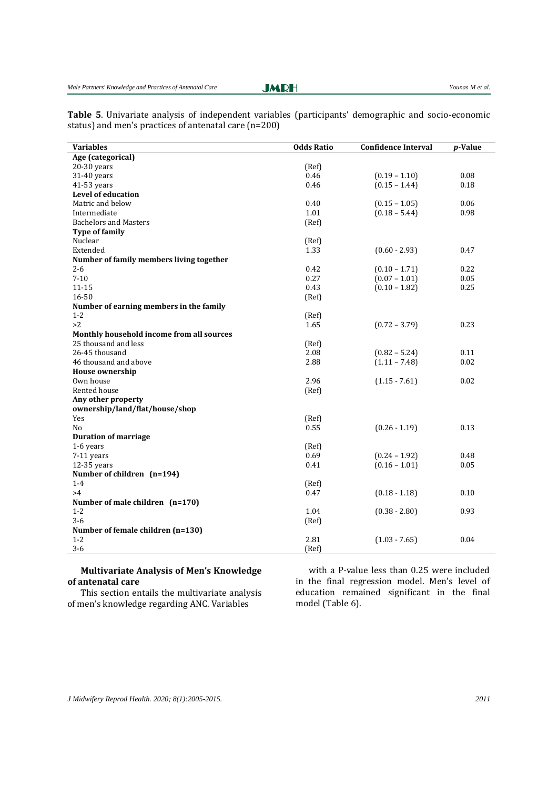**Table 5**. Univariate analysis of independent variables (participants' demographic and socio-economic status) and men's practices of antenatal care (n=200)

| <b>Variables</b>                          | <b>Odds Ratio</b> | <b>Confidence Interval</b> | p-Value |
|-------------------------------------------|-------------------|----------------------------|---------|
| Age (categorical)                         |                   |                            |         |
| $20-30$ years                             | (Ref)             |                            |         |
| 31-40 years                               | 0.46              | $(0.19 - 1.10)$            | 0.08    |
| 41-53 years                               | 0.46              | $(0.15 - 1.44)$            | 0.18    |
| Level of education                        |                   |                            |         |
| Matric and below                          | 0.40              | $(0.15 - 1.05)$            | 0.06    |
| Intermediate                              | 1.01              | $(0.18 - 5.44)$            | 0.98    |
| <b>Bachelors and Masters</b>              | (Ref)             |                            |         |
| <b>Type of family</b>                     |                   |                            |         |
| Nuclear                                   | (Ref)             |                            |         |
| Extended                                  | 1.33              | $(0.60 - 2.93)$            | 0.47    |
| Number of family members living together  |                   |                            |         |
| $2 - 6$                                   | 0.42              | $(0.10 - 1.71)$            | 0.22    |
| $7 - 10$                                  | 0.27              | $(0.07 - 1.01)$            | 0.05    |
| $11 - 15$                                 | 0.43              | $(0.10 - 1.82)$            | 0.25    |
| 16-50                                     | (Ref)             |                            |         |
| Number of earning members in the family   |                   |                            |         |
| $1 - 2$                                   | (Ref)             |                            |         |
| >2                                        | 1.65              | $(0.72 - 3.79)$            | 0.23    |
| Monthly household income from all sources |                   |                            |         |
| 25 thousand and less                      | (Ref)             |                            |         |
| 26-45 thousand                            | 2.08              | $(0.82 - 5.24)$            | 0.11    |
| 46 thousand and above                     | 2.88              | $(1.11 - 7.48)$            | 0.02    |
| <b>House ownership</b>                    |                   |                            |         |
| Own house                                 | 2.96              | $(1.15 - 7.61)$            | 0.02    |
| Rented house                              | (Ref)             |                            |         |
| Any other property                        |                   |                            |         |
| ownership/land/flat/house/shop            |                   |                            |         |
| Yes                                       | (Ref)             |                            |         |
| N <sub>0</sub>                            | 0.55              | $(0.26 - 1.19)$            | 0.13    |
| <b>Duration of marriage</b>               |                   |                            |         |
| 1-6 years                                 | (Ref)             |                            |         |
| 7-11 years                                | 0.69              | $(0.24 - 1.92)$            | 0.48    |
| 12-35 years                               | 0.41              | $(0.16 - 1.01)$            | 0.05    |
| Number of children (n=194)                |                   |                            |         |
| $1 - 4$                                   | (Ref)             |                            |         |
| >4                                        | 0.47              | $(0.18 - 1.18)$            | 0.10    |
| Number of male children (n=170)           |                   |                            |         |
| $1 - 2$                                   | 1.04              | $(0.38 - 2.80)$            | 0.93    |
| $3 - 6$                                   | (Ref)             |                            |         |
| Number of female children (n=130)         |                   |                            |         |
| $1-2$                                     | 2.81              | $(1.03 - 7.65)$            | 0.04    |
| $3 - 6$                                   | (Ref)             |                            |         |

# **Multivariate Analysis of Men's Knowledge of antenatal care**

This section entails the multivariate analysis of men's knowledge regarding ANC. Variables

with a P*-*value less than 0.25 were included in the final regression model. Men's level of education remained significant in the final model (Table 6).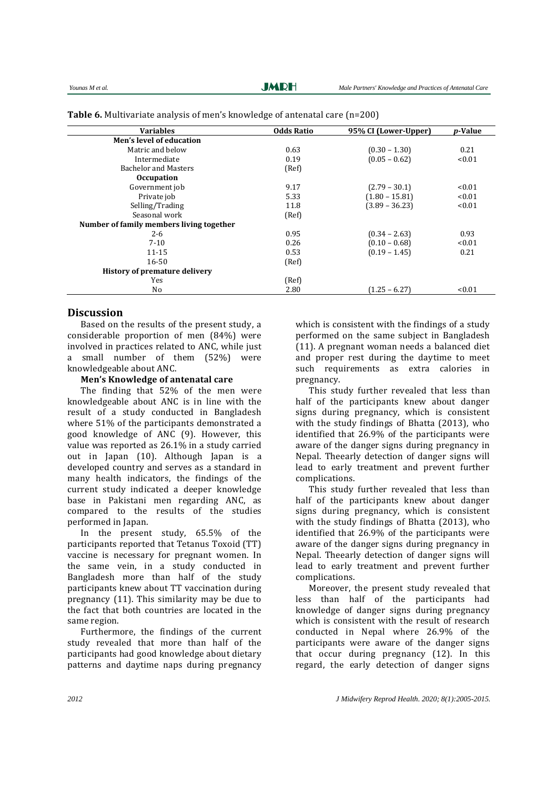| <b>Variables</b>                         | <b>Odds Ratio</b> | 95% CI (Lower-Upper) | <i>p</i> -Value |
|------------------------------------------|-------------------|----------------------|-----------------|
| Men's level of education                 |                   |                      |                 |
| Matric and below                         | 0.63              | $(0.30 - 1.30)$      | 0.21            |
| Intermediate                             | 0.19              | $(0.05 - 0.62)$      | < 0.01          |
| <b>Bachelor and Masters</b>              | (Ref)             |                      |                 |
| <b>Occupation</b>                        |                   |                      |                 |
| Government job                           | 9.17              | $(2.79 - 30.1)$      | < 0.01          |
| Private job                              | 5.33              | $(1.80 - 15.81)$     | < 0.01          |
| Selling/Trading                          | 11.8              | $(3.89 - 36.23)$     | < 0.01          |
| Seasonal work                            | (Ref)             |                      |                 |
| Number of family members living together |                   |                      |                 |
| $2 - 6$                                  | 0.95              | $(0.34 - 2.63)$      | 0.93            |
| $7 - 10$                                 | 0.26              | $(0.10 - 0.68)$      | < 0.01          |
| $11 - 15$                                | 0.53              | $(0.19 - 1.45)$      | 0.21            |
| $16 - 50$                                | (Ref)             |                      |                 |
| History of premature delivery            |                   |                      |                 |
| Yes                                      | (Ref)             |                      |                 |
| No                                       | 2.80              | $(1.25 - 6.27)$      | < 0.01          |

**Table 6.** Multivariate analysis of men's knowledge of antenatal care (n=200)

# **Discussion**

Based on the results of the present study, a considerable proportion of men (84%) were involved in practices related to ANC, while just a small number of them (52%) were knowledgeable about ANC.

**Men's Knowledge of antenatal care**

The finding that 52% of the men were knowledgeable about ANC is in line with the result of a study conducted in Bangladesh where 51% of the participants demonstrated a good knowledge of ANC (9). However, this value was reported as 26.1% in a study carried out in Japan (10). Although Japan is a developed country and serves as a standard in many health indicators, the findings of the current study indicated a deeper knowledge base in Pakistani men regarding ANC, as compared to the results of the studies performed in Japan.

In the present study, 65.5% of the participants reported that Tetanus Toxoid (TT) vaccine is necessary for pregnant women. In the same vein, in a study conducted in Bangladesh more than half of the study participants knew about TT vaccination during pregnancy (11). This similarity may be due to the fact that both countries are located in the same region.

Furthermore, the findings of the current study revealed that more than half of the participants had good knowledge about dietary patterns and daytime naps during pregnancy which is consistent with the findings of a study performed on the same subject in Bangladesh (11). A pregnant woman needs a balanced diet and proper rest during the daytime to meet such requirements as extra calories in pregnancy.

This study further revealed that less than half of the participants knew about danger signs during pregnancy, which is consistent with the study findings of Bhatta (2013), who identified that 26.9% of the participants were aware of the danger signs during pregnancy in Nepal. Theearly detection of danger signs will lead to early treatment and prevent further complications.

This study further revealed that less than half of the participants knew about danger signs during pregnancy, which is consistent with the study findings of Bhatta (2013), who identified that 26.9% of the participants were aware of the danger signs during pregnancy in Nepal. Theearly detection of danger signs will lead to early treatment and prevent further complications.

Moreover, the present study revealed that less than half of the participants had knowledge of danger signs during pregnancy which is consistent with the result of research conducted in Nepal where 26.9% of the participants were aware of the danger signs that occur during pregnancy (12). In this regard, the early detection of danger signs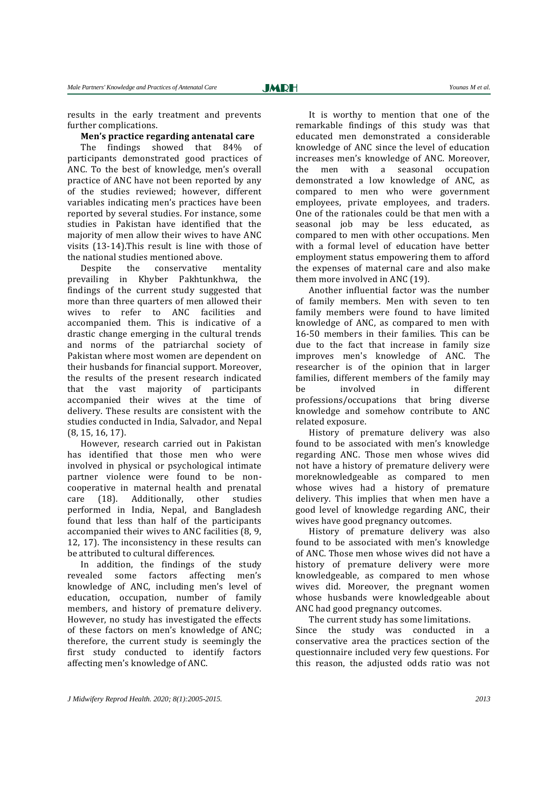#### **Men's practice regarding antenatal care**

The findings showed that 84% of participants demonstrated good practices of ANC. To the best of knowledge, men's overall practice of ANC have not been reported by any of the studies reviewed; however, different variables indicating men's practices have been reported by several studies. For instance, some studies in Pakistan have identified that the majority of men allow their wives to have ANC visits (13-14).This result is line with those of the national studies mentioned above.

Despite the conservative mentality prevailing in Khyber Pakhtunkhwa, the findings of the current study suggested that more than three quarters of men allowed their wives to refer to ANC facilities and accompanied them. This is indicative of a drastic change emerging in the cultural trends and norms of the patriarchal society of Pakistan where most women are dependent on their husbands for financial support. Moreover, the results of the present research indicated that the vast majority of participants accompanied their wives at the time of delivery. These results are consistent with the studies conducted in India, Salvador, and Nepal (8, 15, 16, 17).

However, research carried out in Pakistan has identified that those men who were involved in physical or psychological intimate partner violence were found to be noncooperative in maternal health and prenatal care (18). Additionally, other studies performed in India, Nepal, and Bangladesh found that less than half of the participants accompanied their wives to ANC facilities (8, 9, 12, 17). The inconsistency in these results can be attributed to cultural differences.

In addition, the findings of the study revealed some factors affecting men's knowledge of ANC, including men's level of education, occupation, number of family members, and history of premature delivery. However, no study has investigated the effects of these factors on men's knowledge of ANC; therefore, the current study is seemingly the first study conducted to identify factors affecting men's knowledge of ANC.

It is worthy to mention that one of the remarkable findings of this study was that educated men demonstrated a considerable knowledge of ANC since the level of education increases men's knowledge of ANC. Moreover, the men with a seasonal occupation demonstrated a low knowledge of ANC, as compared to men who were government employees, private employees, and traders. One of the rationales could be that men with a seasonal job may be less educated, as compared to men with other occupations. Men with a formal level of education have better employment status empowering them to afford the expenses of maternal care and also make them more involved in ANC (19).

Another influential factor was the number of family members. Men with seven to ten family members were found to have limited knowledge of ANC, as compared to men with 16-50 members in their families. This can be due to the fact that increase in family size improves men's knowledge of ANC. The researcher is of the opinion that in larger families, different members of the family may be involved in different professions/occupations that bring diverse knowledge and somehow contribute to ANC related exposure.

History of premature delivery was also found to be associated with men's knowledge regarding ANC. Those men whose wives did not have a history of premature delivery were moreknowledgeable as compared to men whose wives had a history of premature delivery. This implies that when men have a good level of knowledge regarding ANC, their wives have good pregnancy outcomes.

History of premature delivery was also found to be associated with men's knowledge of ANC. Those men whose wives did not have a history of premature delivery were more knowledgeable, as compared to men whose wives did. Moreover, the pregnant women whose husbands were knowledgeable about ANC had good pregnancy outcomes.

The current study has some limitations.

Since the study was conducted in a conservative area the practices section of the questionnaire included very few questions. For this reason, the adjusted odds ratio was not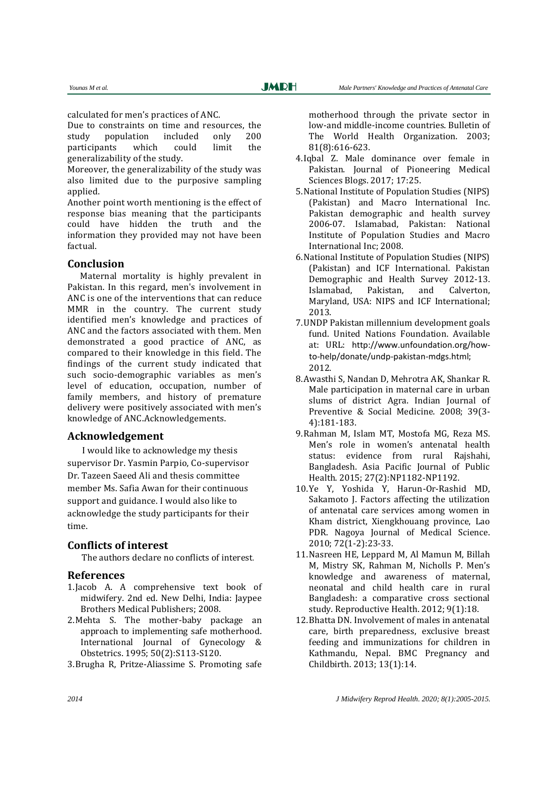calculated for men's practices of ANC.

Due to constraints on time and resources, the study population included only 200 participants which could limit the generalizability of the study.

Moreover, the generalizability of the study was also limited due to the purposive sampling applied.

Another point worth mentioning is the effect of response bias meaning that the participants could have hidden the truth and the information they provided may not have been factual.

#### **Conclusion**

 Maternal mortality is highly prevalent in Pakistan. In this regard, men's involvement in ANC is one of the interventions that can reduce MMR in the country. The current study identified men's knowledge and practices of ANC and the factors associated with them. Men demonstrated a good practice of ANC, as compared to their knowledge in this field. The findings of the current study indicated that such socio-demographic variables as men's level of education, occupation, number of family members, and history of premature delivery were positively associated with men's knowledge of ANC.Acknowledgements.

# **Acknowledgement**

 I would like to acknowledge my thesis supervisor Dr. Yasmin Parpio, Co-supervisor Dr. Tazeen Saeed Ali and thesis committee member Ms. Safia Awan for their continuous support and guidance. I would also like to acknowledge the study participants for their time.

# **Conflicts of interest**

The authors declare no conflicts of interest.

## **References**

- 1.Jacob A. A comprehensive text book of midwifery. 2nd ed. New Delhi, India: Jaypee Brothers Medical Publishers; 2008.
- 2.Mehta S. The mother-baby package an approach to implementing safe motherhood. International Journal of Gynecology & Obstetrics. 1995; 50(2):S113-S120.
- 3.Brugha R, Pritze-Aliassime S. Promoting safe

motherhood through the private sector in low-and middle-income countries. Bulletin of The World Health Organization. 2003; 81(8):616-623.

- 4.Iqbal Z. Male dominance over female in Pakistan. Journal of Pioneering Medical Sciences Blogs. 2017; 17:25.
- 5.National Institute of Population Studies (NIPS) (Pakistan) and Macro International Inc. Pakistan demographic and health survey 2006-07. Islamabad, Pakistan: National Institute of Population Studies and Macro International Inc; 2008.
- 6.National Institute of Population Studies (NIPS) (Pakistan) and ICF International. Pakistan Demographic and Health Survey 2012-13. Islamabad, Pakistan, and Calverton, Maryland, USA: NIPS and ICF International; 2013.
- 7.UNDP Pakistan millennium development goals fund. United Nations Foundation. Available at: URL: [http://www.unfoundation.org/how](http://www.unfoundation.org/how-to-help/donate/undp-pakistan-mdgs.html)[to-help/donate/undp-pakistan-mdgs.html](http://www.unfoundation.org/how-to-help/donate/undp-pakistan-mdgs.html); 2012.
- 8.Awasthi S, Nandan D, Mehrotra AK, Shankar R. Male participation in maternal care in urban slums of district Agra. Indian Journal of Preventive & Social Medicine. 2008; 39(3- 4):181-183.
- 9.Rahman M, Islam MT, Mostofa MG, Reza MS. Men's role in women's antenatal health status: evidence from rural Rajshahi, Bangladesh. Asia Pacific Journal of Public Health. 2015; 27(2):NP1182-NP1192.
- 10.Ye Y, Yoshida Y, Harun-Or-Rashid MD, Sakamoto J. Factors affecting the utilization of antenatal care services among women in Kham district, Xiengkhouang province, Lao PDR. Nagoya Journal of Medical Science. 2010; 72(1-2):23-33.
- 11.Nasreen HE, Leppard M, Al Mamun M, Billah M, Mistry SK, Rahman M, Nicholls P. Men's knowledge and awareness of maternal, neonatal and child health care in rural Bangladesh: a comparative cross sectional study. Reproductive Health. 2012; 9(1):18.
- 12.Bhatta DN. Involvement of males in antenatal care, birth preparedness, exclusive breast feeding and immunizations for children in Kathmandu, Nepal. BMC Pregnancy and Childbirth. 2013; 13(1):14.

*2014 J Midwifery Reprod Health. 2020; 8(1):2005-2015.*